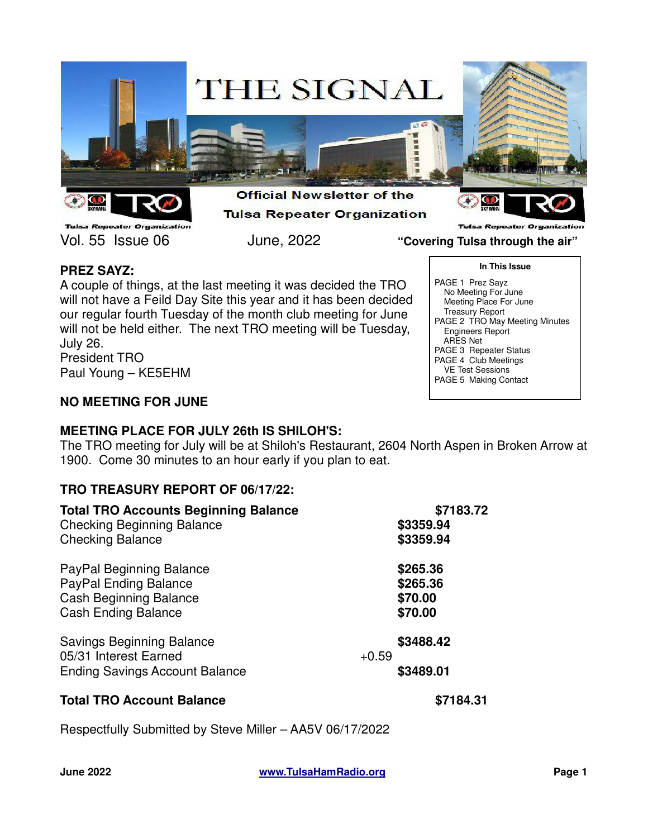

**Tulsa Repeater Organization** Vol. 55 Issue 06 June, 2022 **"Covering Tulsa through the air"**

**Tulsa Repeater Organiza** 

**In This Issue**

PAGE 2 TRO May Meeting Minutes

PAGE 1 Prez Sayz No Meeting For June Meeting Place For June Treasury Report

 Engineers Report ARES Net

PAGE 3 Repeater Status PAGE 4 Club Meetings VE Test Sessions PAGE 5 Making Contact

# **PREZ SAYZ:**

A couple of things, at the last meeting it was decided the TRO will not have a Feild Day Site this year and it has been decided our regular fourth Tuesday of the month club meeting for June will not be held either. The next TRO meeting will be Tuesday, July 26. President TRO

Paul Young – KE5EHM

# **NO MEETING FOR JUNE**

# **MEETING PLACE FOR JULY 26th IS SHILOH'S:**

The TRO meeting for July will be at Shiloh's Restaurant, 2604 North Aspen in Broken Arrow at 1900. Come 30 minutes to an hour early if you plan to eat.

# **TRO TREASURY REPORT OF 06/17/22:**

| <b>Total TRO Accounts Beginning Balance</b>               | \$7183.72            |  |
|-----------------------------------------------------------|----------------------|--|
| <b>Checking Beginning Balance</b>                         | \$3359.94            |  |
| <b>Checking Balance</b>                                   | \$3359.94            |  |
| PayPal Beginning Balance                                  | \$265.36             |  |
| PayPal Ending Balance                                     | \$265.36             |  |
| <b>Cash Beginning Balance</b>                             | \$70.00              |  |
| <b>Cash Ending Balance</b>                                | \$70.00              |  |
| <b>Savings Beginning Balance</b><br>05/31 Interest Earned | \$3488.42<br>$+0.59$ |  |
| <b>Ending Savings Account Balance</b>                     | \$3489.01            |  |
|                                                           |                      |  |

# **Total TRO Account Balance \$7184.31**

Respectfully Submitted by Steve Miller – AA5V 06/17/2022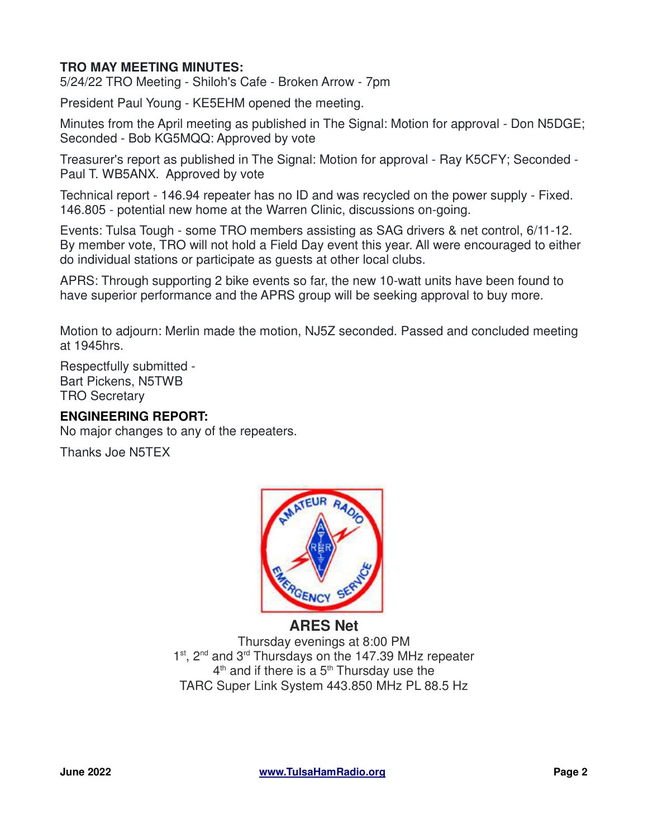# **TRO MAY MEETING MINUTES:**

5/24/22 TRO Meeting - Shiloh's Cafe - Broken Arrow - 7pm

President Paul Young - KE5EHM opened the meeting.

Minutes from the April meeting as published in The Signal: Motion for approval - Don N5DGE; Seconded - Bob KG5MQQ: Approved by vote

Treasurer's report as published in The Signal: Motion for approval - Ray K5CFY; Seconded - Paul T. WB5ANX. Approved by vote

Technical report - 146.94 repeater has no ID and was recycled on the power supply - Fixed. 146.805 - potential new home at the Warren Clinic, discussions on-going.

Events: Tulsa Tough - some TRO members assisting as SAG drivers & net control, 6/11-12. By member vote, TRO will not hold a Field Day event this year. All were encouraged to either do individual stations or participate as guests at other local clubs.

APRS: Through supporting 2 bike events so far, the new 10-watt units have been found to have superior performance and the APRS group will be seeking approval to buy more.

Motion to adjourn: Merlin made the motion, NJ5Z seconded. Passed and concluded meeting at 1945hrs.

Respectfully submitted - Bart Pickens, N5TWB TRO Secretary

# **ENGINEERING REPORT:**

No major changes to any of the repeaters.

Thanks Joe N5TEX



# **ARES Net** Thursday evenings at 8:00 PM 1<sup>st</sup>, 2<sup>nd</sup> and 3<sup>rd</sup> Thursdays on the 147.39 MHz repeater 4<sup>th</sup> and if there is a 5<sup>th</sup> Thursday use the

TARC Super Link System 443.850 MHz PL 88.5 Hz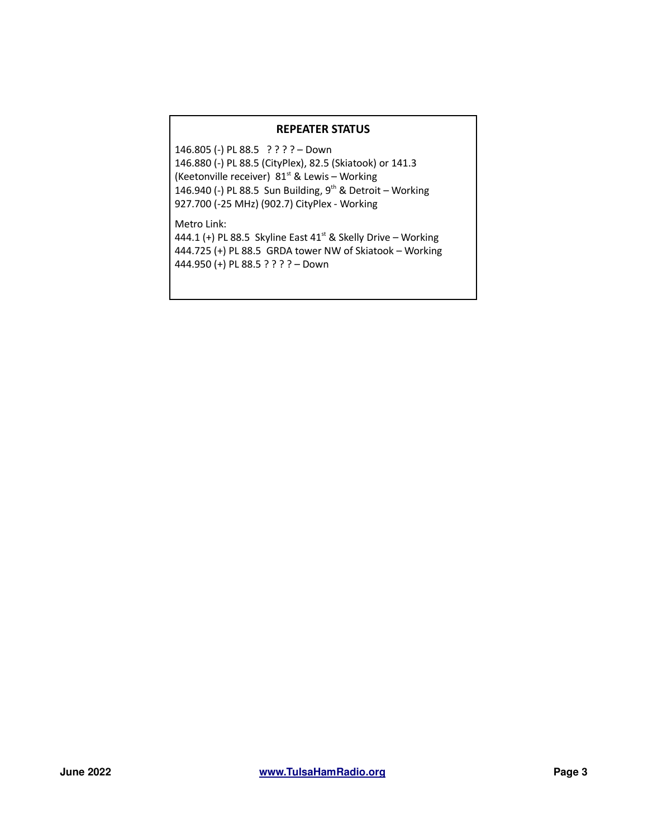#### **REPEATER STATUS**

146.805 (-) PL 88.5 ? ? ? ? – Down 146.880 (-) PL 88.5 (CityPlex), 82.5 (Skiatook) or 141.3 (Keetonville receiver)  $81<sup>st</sup>$  & Lewis – Working 146.940 (-) PL 88.5 Sun Building,  $9^{th}$  & Detroit – Working 927.700 (-25 MHz) (902.7) CityPlex - Working

Metro Link:

444.1 (+) PL 88.5 Skyline East 41<sup>st</sup> & Skelly Drive – Working 444.725 (+) PL 88.5 GRDA tower NW of Skiatook – Working 444.950 (+) PL 88.5 ? ? ? ? – Down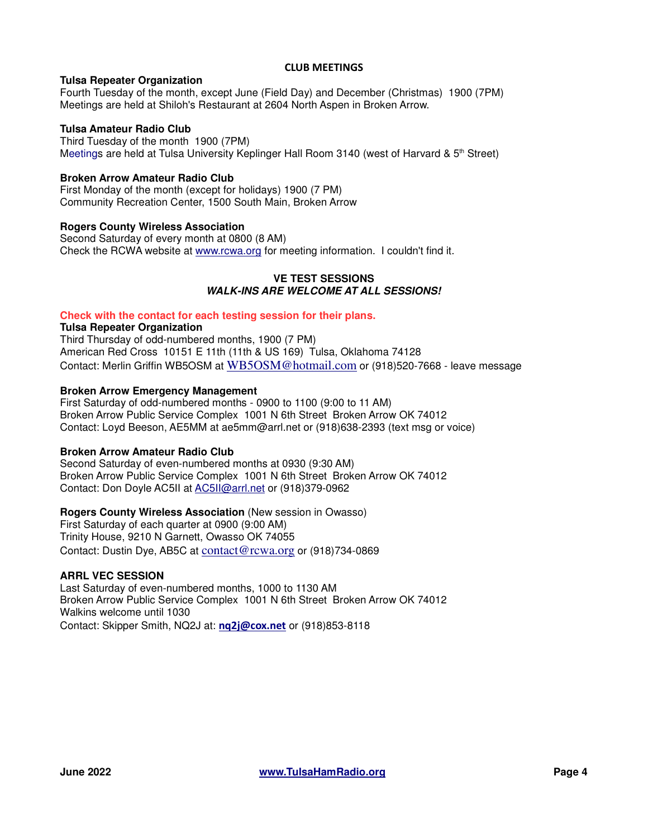#### **CLUB MEETINGS**

### **Tulsa Repeater Organization**

Fourth Tuesday of the month, except June (Field Day) and December (Christmas) 1900 (7PM) Meetings are held at Shiloh's Restaurant at 2604 North Aspen in Broken Arrow.

### **Tulsa Amateur Radio Club**

Third Tuesday of the month 1900 (7PM) Meetings are held at Tulsa University Keplinger Hall Room 3140 (west of Harvard &  $5<sup>th</sup>$  Street)

### **Broken Arrow Amateur Radio Club**

First Monday of the month (except for holidays) 1900 (7 PM) Community Recreation Center, 1500 South Main, Broken Arrow

### **Rogers County Wireless Association**

Second Saturday of every month at 0800 (8 AM) Check the RCWA website at www.rcwa.org for meeting information. I couldn't find it.

### **VE TEST SESSIONS WALK-INS ARE WELCOME AT ALL SESSIONS!**

#### **Check with the contact for each testing session for their plans.**

#### **Tulsa Repeater Organization**

Third Thursday of odd-numbered months, 1900 (7 PM) American Red Cross 10151 E 11th (11th & US 169) Tulsa, Oklahoma 74128 Contact: Merlin Griffin WB5OSM at WB5OSM@hotmail.com or (918)520-7668 - leave message

### **Broken Arrow Emergency Management**

First Saturday of odd-numbered months - 0900 to 1100 (9:00 to 11 AM) Broken Arrow Public Service Complex 1001 N 6th Street Broken Arrow OK 74012 Contact: Loyd Beeson, AE5MM at ae5mm@arrl.net or (918)638-2393 (text msg or voice)

#### **Broken Arrow Amateur Radio Club**

Second Saturday of even-numbered months at 0930 (9:30 AM) Broken Arrow Public Service Complex 1001 N 6th Street Broken Arrow OK 74012 Contact: Don Doyle AC5II at AC5II@arrl.net or (918)379-0962

## **Rogers County Wireless Association** (New session in Owasso)

First Saturday of each quarter at 0900 (9:00 AM) Trinity House, 9210 N Garnett, Owasso OK 74055 Contact: Dustin Dye, AB5C at contact@rcwa.org or (918)734-0869

## **ARRL VEC SESSION**

Last Saturday of even-numbered months, 1000 to 1130 AM Broken Arrow Public Service Complex 1001 N 6th Street Broken Arrow OK 74012 Walkins welcome until 1030 Contact: Skipper Smith, NQ2J at: **nq2j@cox.net** or (918)853-8118